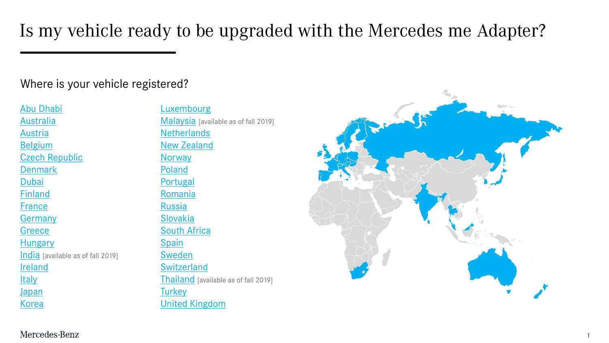Is my vehicle ready to be upgraded with the Mercedes me Adapter?

#### Where is your vehicle registered?

[Abu Dhabi](#page-6-0) [Australia](#page-10-0) [Austria](#page-1-0) **[Belgium](#page-1-0)** [Czech Republic](#page-2-0) **[Denmark](#page-2-0)** [Dubai](#page-6-0) [Finland](#page-3-0) [France](#page-1-0) **[Germany](#page-1-0) [Greece](#page-5-0) [Hungary](#page-1-0)** [India](#page-13-0) [available as of fall 2019] [Ireland](#page-1-0) **[Italy](#page-1-0)** [Japan](#page-8-0) [Korea](#page-7-0)

**[Luxembourg](#page-1-0)** [Malaysia](#page-12-0) [available as of fall 2019] **[Netherlands](#page-1-0)** [New Zealand](#page-10-0) **[Norway](#page-2-0)** [Poland](#page-1-0) [Portugal](#page-2-0) [Romania](#page-5-0) [Russia](#page-9-0) [Slovakia](#page-1-0) [South Africa](#page-4-0) [Spain](#page-1-0) [Sweden](#page-2-0) **[Switzerland](#page-1-0)** [Thailand](#page-11-0) [available as of fall 2019] **[Turkey](#page-4-0)** [United Kingdom](#page-1-0)



Mercedes-Benz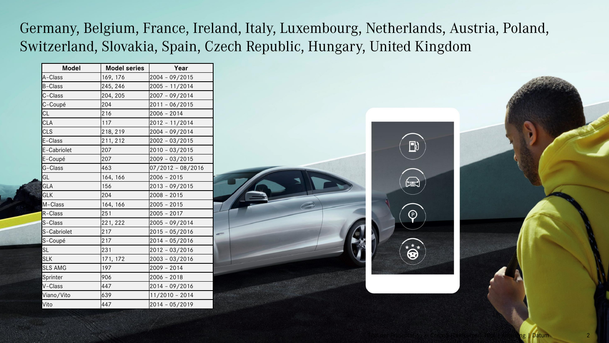<span id="page-1-0"></span>Germany, Belgium, France, Ireland, Italy, Luxembourg, Netherlands, Austria, Poland, Switzerland, Slovakia, Spain, Czech Republic, Hungary, United Kingdom

| <b>Model</b>   | <b>Model series</b> | Year              |
|----------------|---------------------|-------------------|
| A-Class        | 169, 176            | 2004 - 09/2015    |
| <b>B-Class</b> | 245, 246            | 2005 - 11/2014    |
| C-Class        | 204, 205            | 2007 - 09/2014    |
| C-Coupé        | 204                 | 2011 - 06/2015    |
| CL             | 216                 | $2006 - 2014$     |
| CLA            | 117                 | 2012 - 11/2014    |
| <b>CLS</b>     | 218, 219            | 2004 - 09/2014    |
| E-Class        | 211, 212            | 2002 - 03/2015    |
| E-Cabriolet    | 207                 | $2010 - 03/2015$  |
| E-Coupé        | 207                 | 2009 - 03/2015    |
| G-Class        | 463                 | 07/2012 - 08/2016 |
| GL             | 164, 166            | $2006 - 2015$     |
| GLA            | 156                 | 2013 - 09/2015    |
| <b>GLK</b>     | 204                 | $2008 - 2015$     |
| M-Class        | 164, 166            | $2005 - 2015$     |
| R-Class        | 251                 | $2005 - 2017$     |
| S-Class        | 221, 222            | 2005 - 09/2014    |
| S-Cabriolet    | 217                 | 2015 - 05/2016    |
| S-Coupé        | 217                 | 2014 - 05/2016    |
| <b>SL</b>      | 231                 | 2012 - 03/2016    |
| <b>SLK</b>     | 171, 172            | 2003 - 03/2016    |
| <b>SLS AMG</b> | 197                 | 2009 - 2014       |
| Sprinter       | 906                 | $2006 - 2018$     |
| V-Class        | 447                 | 2014 - 09/2016    |
| Viano/Vito     | 639                 | $11/2010 - 2014$  |
| Vito           | 447                 | 2014 - 05/2019    |



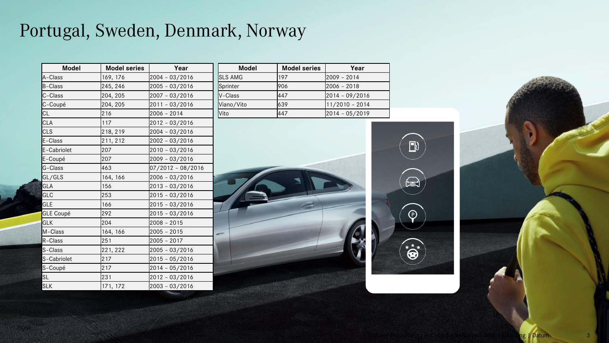# <span id="page-2-0"></span>Portugal, Sweden, Denmark, Norway

| <b>Model</b>     | <b>Model series</b> | Year              |
|------------------|---------------------|-------------------|
| A-Class          | 169, 176            | 2004 - 03/2016    |
| B-Class          | 245, 246            | 2005 - 03/2016    |
| C-Class          | 204, 205            | 2007 - 03/2016    |
| C-Coupé          | 204, 205            | $2011 - 03/2016$  |
| CL               | 216                 | $2006 - 2014$     |
| <b>CLA</b>       | 117                 | 2012 - 03/2016    |
| <b>CLS</b>       | 218, 219            | 2004 - 03/2016    |
| E-Class          | 211, 212            | 2002 - 03/2016    |
| E-Cabriolet      | 207                 | 2010 - 03/2016    |
| E-Coupé          | 207                 | 2009 - 03/2016    |
| G-Class          | 463                 | 07/2012 - 08/2016 |
| GL/GLS           | 164, 166            | $2006 - 03/2016$  |
| GLA              | 156                 | $2013 - 03/2016$  |
| <b>GLC</b>       | 253                 | $2015 - 03/2016$  |
| <b>GLE</b>       | 166                 | $2015 - 03/2016$  |
| <b>GLE Coupé</b> | 292                 | $2015 - 03/2016$  |
| <b>GLK</b>       | 204                 | $2008 - 2015$     |
| M-Class          | 164, 166            | $2005 - 2015$     |
| R-Class          | 251                 | $2005 - 2017$     |
| S-Class          | 221, 222            | $2005 - 03/2016$  |
| S-Cabriolet      | 217                 | $2015 - 05/2016$  |
| S-Coupé          | 217                 | 2014 - 05/2016    |
| SL               | 231                 | 2012 - 03/2016    |
| <b>SLK</b>       | 171, 172            | 2003 - 03/2016    |

| <b>Model</b>   | <b>Model series</b> | Year               |
|----------------|---------------------|--------------------|
| <b>SLS AMG</b> | 197                 | 2009 - 2014        |
| Sprinter       | 906                 | l2006 - 2018       |
| V-Class        | 447                 | $[2014 - 09/2016]$ |
| Viano/Vito     | 639                 | 11/2010 - 2014     |
| Vito           | 447                 | 2014 - 05/2019     |

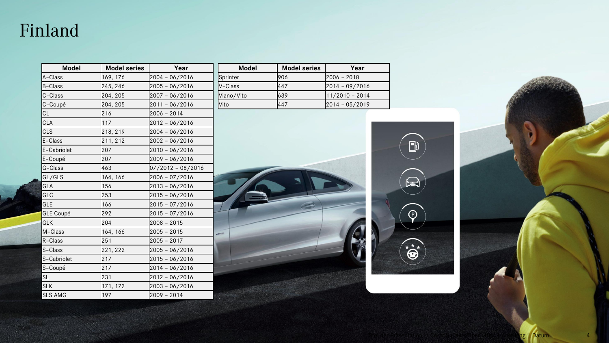#### <span id="page-3-0"></span>Finland

| <b>Model</b>     | <b>Model series</b> | Year                |
|------------------|---------------------|---------------------|
| A-Class          | 169, 176            | $2004 - 06/2016$    |
| B-Class          | 245, 246            | $2005 - 06/2016$    |
| C-Class          | 204, 205            | 2007 - 06/2016      |
| C-Coupé          | 204, 205            | 2011 - 06/2016      |
| CL               | 216                 | 2006 - 2014         |
| <b>CLA</b>       | 117                 | $2012 - 06/2016$    |
| <b>CLS</b>       | 218, 219            | $2004 - 06/2016$    |
| E-Class          | 211, 212            | $2002 - 06/2016$    |
| E-Cabriolet      | 207                 | 2010 - 06/2016      |
| E-Coupé          | 207                 | 2009 - 06/2016      |
| G-Class          | 463                 | $07/2012 - 08/2016$ |
| GL/GLS           | 164, 166            | $2006 - 07/2016$    |
| GLA              | 156                 | $2013 - 06/2016$    |
| GLC              | 253                 | $2015 - 06/2016$    |
| GLE              | 166                 | 2015 - 07/2016      |
| <b>GLE Coupé</b> | 292                 | $2015 - 07/2016$    |
| <b>GLK</b>       | 204                 | $2008 - 2015$       |
| M-Class          | 164, 166            | $2005 - 2015$       |
| R-Class          | 251                 | 2005 - 2017         |
| S-Class          | 221, 222            | $2005 - 06/2016$    |
| S-Cabriolet      | 217                 | $2015 - 06/2016$    |
| S-Coupé          | 217                 | 2014 - 06/2016      |
| <b>SL</b>        | 231                 | 2012 - 06/2016      |
| <b>SLK</b>       | 171, 172            | 2003 - 06/2016      |
| <b>SLS AMG</b>   | 197                 | $2009 - 2014$       |

| <b>Model</b> | <b>Model series</b> | Year           |
|--------------|---------------------|----------------|
| Sprinter     | 1906                | l2006 – 2018   |
| V-Class      | 447                 | 2014 - 09/2016 |
| Viano/Vito   | 639                 | 11/2010 - 2014 |
| Vito         | 447                 | 2014 - 05/2019 |



ng <mark>| D</mark>atum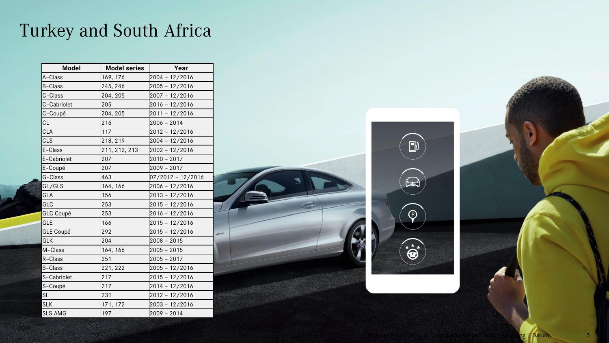## <span id="page-4-0"></span>Turkey and South Africa

| <b>Model</b>     | <b>Model series</b> | Year              |
|------------------|---------------------|-------------------|
| A-Class          | 169, 176            | 2004 - 12/2016    |
| B-Class          | 245, 246            | 2005 - 12/2016    |
| C-Class          | 204, 205            | 2007 - 12/2016    |
| C-Cabriolet      | 205                 | $2016 - 12/2016$  |
| C-Coupé          | 204, 205            | 2011 - 12/2016    |
| CL               | 216                 | 2006 - 2014       |
| CLA              | 117                 | 2012 - 12/2016    |
| CLS              | 218, 219            | 2004 - 12/2016    |
| E-Class          | 211, 212, 213       | 2002 - 12/2016    |
| E-Cabriolet      | 207                 | $2010 - 2017$     |
| E-Coupé          | 207                 | 2009 - 2017       |
| G-Class          | 463                 | 07/2012 - 12/2016 |
| GL/GLS           | 164, 166            | 2006 - 12/2016    |
| GLA              | 156                 | $2013 - 12/2016$  |
| GLC              | 253                 | $2015 - 12/2016$  |
| <b>GLC Coupé</b> | 253                 | $2016 - 12/2016$  |
| <b>GLE</b>       | 166                 | $2015 - 12/2016$  |
| <b>GLE Coupé</b> | 292                 | $2015 - 12/2016$  |
| GLK              | 204                 | $2008 - 2015$     |
| M-Class          | 164, 166            | $2005 - 2015$     |
| R-Class          | 251                 | $2005 - 2017$     |
| S-Class          | 221, 222            | $2005 - 12/2016$  |
| S-Cabriolet      | 217                 | $2015 - 12/2016$  |
| S-Coupé          | 217                 | 2014 - 12/2016    |
| <b>SL</b>        | 231                 | 2012 - 12/2016    |
| <b>SLK</b>       | 171, 172            | $2003 - 12/2016$  |
| <b>SLS AMG</b>   | 197                 | $2009 - 2014$     |





I Datum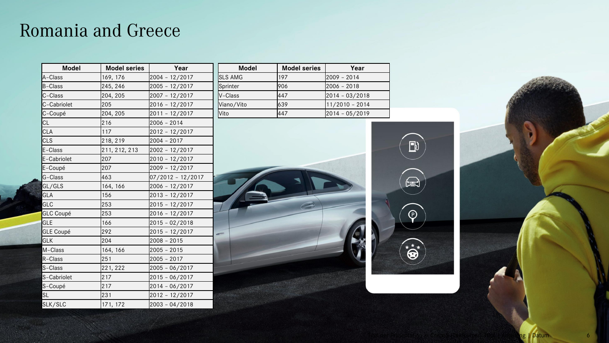#### <span id="page-5-0"></span>Romania and Greece

| <b>Model</b>     | <b>Model series</b> | Year              |
|------------------|---------------------|-------------------|
| A-Class          | 169, 176            | 2004 - 12/2017    |
| B-Class          | 245, 246            | 2005 - 12/2017    |
| C-Class          | 204, 205            | 2007 - 12/2017    |
| C-Cabriolet      | 205                 | $2016 - 12/2017$  |
| C-Coupé          | 204, 205            | 2011 - 12/2017    |
| CL               | 216                 | 2006 - 2014       |
| <b>CLA</b>       | 117                 | 2012 - 12/2017    |
| <b>CLS</b>       | 218, 219            | 2004 - 2017       |
| E-Class          | 211, 212, 213       | 2002 - 12/2017    |
| E-Cabriolet      | 207                 | 2010 - 12/2017    |
| E-Coupé          | 207                 | 2009 - 12/2017    |
| G-Class          | 463                 | 07/2012 - 12/2017 |
| GL/GLS           | 164, 166            | 2006 - 12/2017    |
| GLA              | 156                 | $2013 - 12/2017$  |
| GLC              | 253                 | $2015 - 12/2017$  |
| <b>GLC Coupé</b> | 253                 | $2016 - 12/2017$  |
| <b>GLE</b>       | 166                 | $2015 - 02/2018$  |
| <b>GLE Coupé</b> | 292                 | $2015 - 12/2017$  |
| GLK              | 204                 | $2008 - 2015$     |
| M-Class          | 164, 166            | $2005 - 2015$     |
| R-Class          | 251                 | $2005 - 2017$     |
| S-Class          | 221, 222            | 2005 - 06/2017    |
| S-Cabriolet      | 217                 | $2015 - 06/2017$  |
| S-Coupé          | 217                 | 2014 - 06/2017    |
| <b>SL</b>        | 231                 | $2012 - 12/2017$  |
| SLK/SLC          | 171, 172            | $2003 - 04/2018$  |

| <b>Model</b>   | <b>Model series</b> | Year               |
|----------------|---------------------|--------------------|
| <b>SLS AMG</b> | 197                 | $2009 - 2014$      |
| Sprinter       | 906                 | l2006 – 2018       |
| V-Class        | 447                 | $[2014 - 03/2018]$ |
| Viano/Vito     | 639                 | 11/2010 - 2014     |
| lVito          | 447                 | 2014 - 05/2019     |

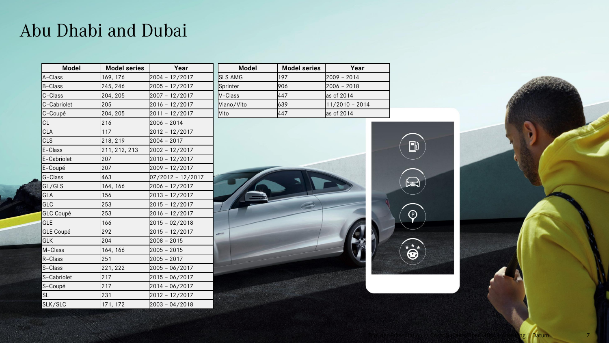#### <span id="page-6-0"></span>Abu Dhabi and Dubai

| <b>Model</b>     | <b>Model series</b> | Year              |
|------------------|---------------------|-------------------|
| A-Class          | 169, 176            | 2004 - 12/2017    |
| <b>B-Class</b>   | 245, 246            | 2005 - 12/2017    |
| C-Class          | 204, 205            | 2007 - 12/2017    |
| C-Cabriolet      | 205                 | 2016 - 12/2017    |
| C-Coupé          | 204, 205            | 2011 - 12/2017    |
| CL               | 216                 | $2006 - 2014$     |
| <b>CLA</b>       | 117                 | 2012 - 12/2017    |
| <b>CLS</b>       | 218, 219            | $2004 - 2017$     |
| E-Class          | 211, 212, 213       | 2002 - 12/2017    |
| E-Cabriolet      | 207                 | 2010 - 12/2017    |
| E-Coupé          | 207                 | 2009 - 12/2017    |
| G-Class          | 463                 | 07/2012 - 12/2017 |
| GL/GLS           | 164, 166            | $2006 - 12/2017$  |
| GLA              | 156                 | 2013 - 12/2017    |
| GLC              | 253                 | $2015 - 12/2017$  |
| <b>GLC Coupé</b> | 253                 | 2016 - 12/2017    |
| <b>GLE</b>       | 166                 | $2015 - 02/2018$  |
| <b>GLE Coupé</b> | 292                 | $2015 - 12/2017$  |
| <b>GLK</b>       | 204                 | $2008 - 2015$     |
| M-Class          | 164, 166            | $2005 - 2015$     |
| R-Class          | 251                 | $2005 - 2017$     |
| S-Class          | 221, 222            | 2005 - 06/2017    |
| S-Cabriolet      | 217                 | $2015 - 06/2017$  |
| S-Coupé          | 217                 | 2014 - 06/2017    |
| <b>SL</b>        | 231                 | $2012 - 12/2017$  |
| SLK/SLC          | 171, 172            | $2003 - 04/2018$  |

| <b>Model</b>   | <b>Model series</b> | Year           |
|----------------|---------------------|----------------|
| <b>SLS AMG</b> | 197                 | l2009 – 2014   |
| Sprinter       | 906                 | l2006 – 2018   |
| $V$ -Class     | 447                 | as of 2014     |
| Viano/Vito     | 639                 | 11/2010 - 2014 |
| <b>Vito</b>    | 447                 | las of 2014    |



 $\blacksquare$  Datum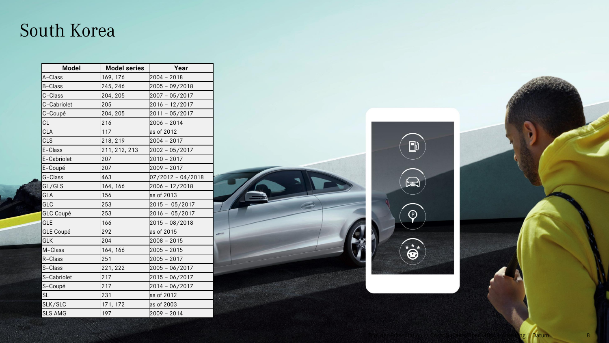#### <span id="page-7-0"></span>South Korea

| <b>Model</b>        | <b>Model series</b> | Year                |
|---------------------|---------------------|---------------------|
| A-Class             | 169, 176            | 2004 - 2018         |
| <b>B-Class</b>      | 245, 246            | 2005 - 09/2018      |
| C-Class             | 204, 205            | 2007 - 05/2017      |
| C-Cabriolet         | 205                 | $2016 - 12/2017$    |
| C-Coupé             | 204, 205            | 2011 - 05/2017      |
| <b>CL</b>           | 216                 | 2006 - 2014         |
| CLA                 | 117                 | as of 2012          |
| <b>CLS</b>          | 218, 219            | 2004 - 2017         |
| E-Class             | 211, 212, 213       | 2002 - 05/2017      |
| <b>IE-Cabriolet</b> | 207                 | 2010 - 2017         |
| E-Coupé             | 207                 | 2009 - 2017         |
| G-Class             | 463                 | $07/2012 - 04/2018$ |
| GL/GLS              | 164, 166            | 2006 - 12/2018      |
| GLA                 | 156                 | as of 2013          |
| GLC                 | 253                 | $2015 - 05/2017$    |
| <b>GLC Coupé</b>    | 253                 | $2016 - 05/2017$    |
| <b>GLE</b>          | 166                 | $2015 - 08/2018$    |
| GLE Coupé           | 292                 | as of 2015          |
| <b>GLK</b>          | 204                 | 2008 - 2015         |
| M-Class             | 164, 166            | 2005 - 2015         |
| R-Class             | 251                 | $2005 - 2017$       |
| S-Class             | 221, 222            | 2005 - 06/2017      |
| S-Cabriolet         | 217                 | $2015 - 06/2017$    |
| S-Coupé             | 217                 | 2014 - 06/2017      |
| <b>SL</b>           | 231                 | as of 2012          |
| SLK/SLC             | 171, 172            | as of 2003          |
| <b>SLS AMG</b>      | 197                 | 2009 - 2014         |





ng <mark>| D</mark>atum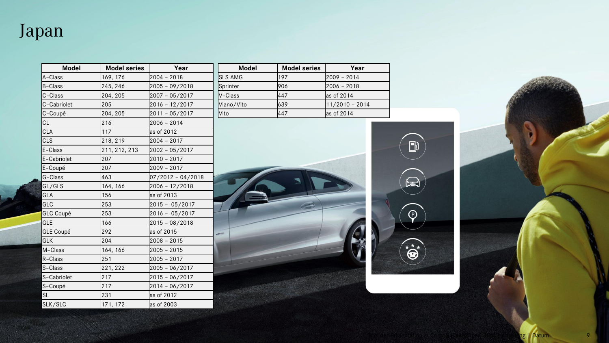<span id="page-8-0"></span>Japan

| <b>Model</b>     | <b>Model series</b> | Year                |
|------------------|---------------------|---------------------|
| A-Class          | 169, 176            | $2004 - 2018$       |
| B-Class          | 245, 246            | $2005 - 09/2018$    |
| C-Class          | 204, 205            | 2007 - 05/2017      |
| C-Cabriolet      | 205                 | $2016 - 12/2017$    |
| C-Coupé          | 204, 205            | 2011 - 05/2017      |
| CL               | 216                 | $2006 - 2014$       |
| <b>CLA</b>       | 117                 | as of 2012          |
| <b>CLS</b>       | 218, 219            | $2004 - 2017$       |
| E-Class          | 211, 212, 213       | 2002 - 05/2017      |
| E-Cabriolet      | 207                 | $2010 - 2017$       |
| E-Coupé          | 207                 | 2009 - 2017         |
| G-Class          | 463                 | $07/2012 - 04/2018$ |
| GL/GLS           | 164, 166            | 2006 - 12/2018      |
| GLA              | 156                 | as of 2013          |
| GLC              | 253                 | $2015 - 05/2017$    |
| <b>GLC Coupé</b> | 253                 | 2016 - 05/2017      |
| <b>GLE</b>       | 166                 | $2015 - 08/2018$    |
| <b>GLE Coupé</b> | 292                 | as of 2015          |
| <b>GLK</b>       | 204                 | $2008 - 2015$       |
| M-Class          | 164, 166            | $2005 - 2015$       |
| R-Class          | 251                 | $2005 - 2017$       |
| S-Class          | 221, 222            | 2005 - 06/2017      |
| S-Cabriolet      | 217                 | $2015 - 06/2017$    |
| S-Coupé          | 217                 | 2014 - 06/2017      |
| SL               | 231                 | as of 2012          |
| SLK/SLC          | 171, 172            | as of 2003          |

| <b>Model</b>   | <b>Model series</b> | Year           |
|----------------|---------------------|----------------|
| <b>SLS AMG</b> | 197                 | l2009 - 2014   |
| Sprinter       | 906                 | l2006 – 2018   |
| V-Class        | 447                 | as of 2014     |
| Viano/Vito     | 639                 | 11/2010 - 2014 |
| Vito           | 447                 | as of 2014     |



ng | Datum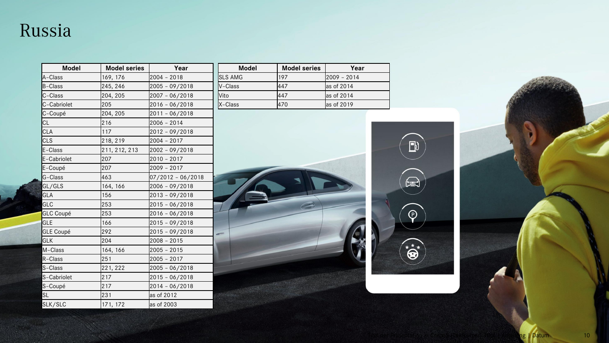#### <span id="page-9-0"></span>Russia

| <b>Model</b>     | <b>Model series</b> | Year              |
|------------------|---------------------|-------------------|
| A-Class          | 169, 176            | $2004 - 2018$     |
| B-Class          | 245, 246            | 2005 - 09/2018    |
| C-Class          | 204, 205            | 2007 - 06/2018    |
| C-Cabriolet      | 205                 | 2016 - 06/2018    |
| C-Coupé          | 204, 205            | 2011-06/2018      |
| CL               | 216                 | 2006 - 2014       |
| <b>CLA</b>       | 117                 | 2012 - 09/2018    |
| <b>CLS</b>       | 218, 219            | $2004 - 2017$     |
| E-Class          | 211, 212, 213       | 2002 - 09/2018    |
| E-Cabriolet      | 207                 | $2010 - 2017$     |
| E-Coupé          | 207                 | 2009 - 2017       |
| G-Class          | 463                 | 07/2012 - 06/2018 |
| GL/GLS           | 164, 166            | 2006 - 09/2018    |
| GLA              | 156                 | 2013 - 09/2018    |
| GLC              | 253                 | 2015 - 06/2018    |
| <b>GLC Coupé</b> | 253                 | $2016 - 06/2018$  |
| GLE              | 166                 | 2015 - 09/2018    |
| <b>GLE Coupé</b> | 292                 | 2015 - 09/2018    |
| <b>GLK</b>       | 204                 | $2008 - 2015$     |
| M-Class          | 164, 166            | $2005 - 2015$     |
| R-Class          | 251                 | $2005 - 2017$     |
| S-Class          | 221, 222            | $2005 - 06/2018$  |
| S-Cabriolet      | 217                 | 2015 - 06/2018    |
| S-Coupé          | 217                 | $2014 - 06/2018$  |
| SL               | 231                 | as of 2012        |
| SLK/SLC          | 171, 172            | as of 2003        |

| <b>Model</b>    | <b>Model series</b> | Year         |
|-----------------|---------------------|--------------|
| <b>ISLS AMG</b> | 197                 | l2009 - 2014 |
| <b>N-Class</b>  | 447                 | as of 2014   |
| <b>Nito</b>     | 447                 | as of 2014   |
| X-Class         | 470                 | as of 2019   |

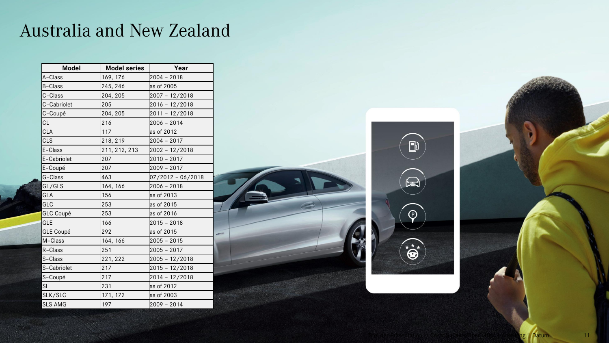### <span id="page-10-0"></span>Australia and New Zealand

| <b>Model</b>     | <b>Model series</b> | Year                |
|------------------|---------------------|---------------------|
| A-Class          | 169, 176            | $2004 - 2018$       |
| <b>B-Class</b>   | 245, 246            | as of 2005          |
| C-Class          | 204, 205            | $2007 - 12/2018$    |
| C-Cabriolet      | 205                 | 2016 - 12/2018      |
| C-Coupé          | 204, 205            | 2011 - 12/2018      |
| CL               | 216                 | 2006 - 2014         |
| <b>CLA</b>       | 117                 | as of 2012          |
| CLS              | 218, 219            | $2004 - 2017$       |
| E-Class          | 211, 212, 213       | 2002 - 12/2018      |
| E-Cabriolet      | 207                 | $2010 - 2017$       |
| E-Coupé          | 207                 | $2009 - 2017$       |
| G-Class          | 463                 | $07/2012 - 06/2018$ |
| GL/GLS           | 164, 166            | $2006 - 2018$       |
| GLA              | 156                 | as of 2013          |
| GLC              | 253                 | as of 2015          |
| <b>GLC Coupé</b> | 253                 | as of 2016          |
| GLE              | 166                 | $2015 - 2018$       |
| <b>GLE Coupé</b> | 292                 | as of 2015          |
| M-Class          | 164, 166            | $2005 - 2015$       |
| R-Class          | 251                 | $2005 - 2017$       |
| S-Class          | 221, 222            | 2005 - 12/2018      |
| S-Cabriolet      | 217                 | 2015 - 12/2018      |
| S-Coupé          | 217                 | 2014 - 12/2018      |
| SL               | 231                 | as of 2012          |
| SLK/SLC          | 171, 172            | as of 2003          |
| <b>SLS AMG</b>   | 197                 | $2009 - 2014$       |



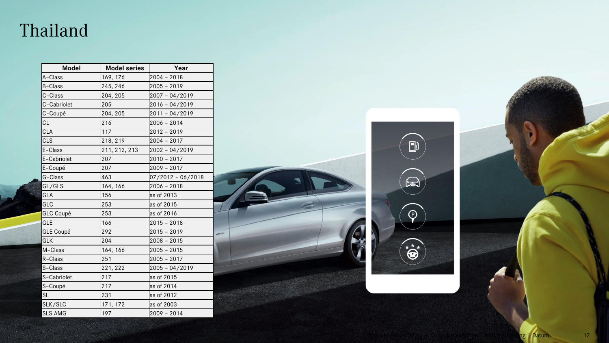#### <span id="page-11-0"></span>Thailand

| <b>Model</b>     | <b>Model series</b> | Year                |
|------------------|---------------------|---------------------|
| A-Class          | 169, 176            | $2004 - 2018$       |
| <b>B-Class</b>   | 245, 246            | 2005 - 2019         |
| C-Class          | 204, 205            | 2007 - 04/2019      |
| C-Cabriolet      | 205                 | 2016 - 04/2019      |
| C-Coupé          | 204, 205            | 2011-04/2019        |
| <b>CL</b>        | 216                 | $2006 - 2014$       |
| <b>CLA</b>       | 117                 | $2012 - 2019$       |
| <b>CLS</b>       | 218, 219            | $2004 - 2017$       |
| E-Class          | 211, 212, 213       | 2002 - 04/2019      |
| E-Cabriolet      | 207                 | 2010 - 2017         |
| E-Coupé          | 207                 | $2009 - 2017$       |
| G-Class          | 463                 | $07/2012 - 06/2018$ |
| GL/GLS           | 164, 166            | $2006 - 2018$       |
| GLA              | 156                 | as of 2013          |
| GLC              | 253                 | as of 2015          |
| <b>GLC Coupé</b> | 253                 | as of 2016          |
| <b>GLE</b>       | 166                 | $2015 - 2018$       |
| GLE Coupé        | 292                 | $2015 - 2019$       |
| <b>GLK</b>       | 204                 | $2008 - 2015$       |
| M-Class          | 164, 166            | $2005 - 2015$       |
| R-Class          | 251                 | $2005 - 2017$       |
| S-Class          | 221, 222            | 2005 - 04/2019      |
| S-Cabriolet      | 217                 | as of 2015          |
| S-Coupé          | 217                 | as of 2014          |
| <b>SL</b>        | 231                 | as of 2012          |
| SLK/SLC          | 171, 172            | as of 2003          |
| <b>SLS AMG</b>   | 197                 | $2009 - 2014$       |





Titel der Präsentation in CorpoR (Text) | Datum 12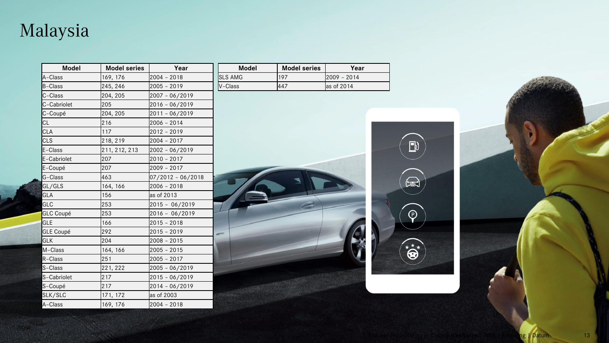# <span id="page-12-0"></span>Malaysia

| <b>Model</b>     | <b>Model series</b> | Year                |
|------------------|---------------------|---------------------|
| A-Class          | 169, 176            | $2004 - 2018$       |
| B-Class          | 245, 246            | $2005 - 2019$       |
| C-Class          | 204, 205            | 2007 - 06/2019      |
| C-Cabriolet      | 205                 | 2016 - 06/2019      |
| C-Coupé          | 204, 205            | 2011-06/2019        |
| CL               | 216                 | $2006 - 2014$       |
| CLA              | 117                 | $2012 - 2019$       |
| CLS              | 218, 219            | $2004 - 2017$       |
| E-Class          | 211, 212, 213       | 2002 - 06/2019      |
| E-Cabriolet      | 207                 | $2010 - 2017$       |
| E-Coupé          | 207                 | 2009 - 2017         |
| G-Class          | 463                 | $07/2012 - 06/2018$ |
| GL/GLS           | 164, 166            | $2006 - 2018$       |
| GLA              | 156                 | as of 2013          |
| GLC              | 253                 | 2015 - 06/2019      |
| <b>GLC Coupé</b> | 253                 | $2016 - 06/2019$    |
| GLE              | 166                 | $2015 - 2018$       |
| <b>GLE Coupé</b> | 292                 | 2015 - 2019         |
| <b>GLK</b>       | 204                 | $2008 - 2015$       |
| M-Class          | 164, 166            | $2005 - 2015$       |
| R-Class          | 251                 | $2005 - 2017$       |
| S-Class          | 221, 222            | 2005 - 06/2019      |
| S-Cabriolet      | 217                 | 2015 - 06/2019      |
| S-Coupé          | 217                 | 2014 - 06/2019      |
| SLK/SLC          | 171, 172            | as of 2003          |
| A-Class          | 169, 176            | $2004 - 2018$       |

| Model           | <b>Model series</b> | Year                    |
|-----------------|---------------------|-------------------------|
| <b>ISLS AMG</b> | 197                 | I2009 - 2014            |
| $V$ –Class      | 447                 | $\textsf{las of } 2014$ |